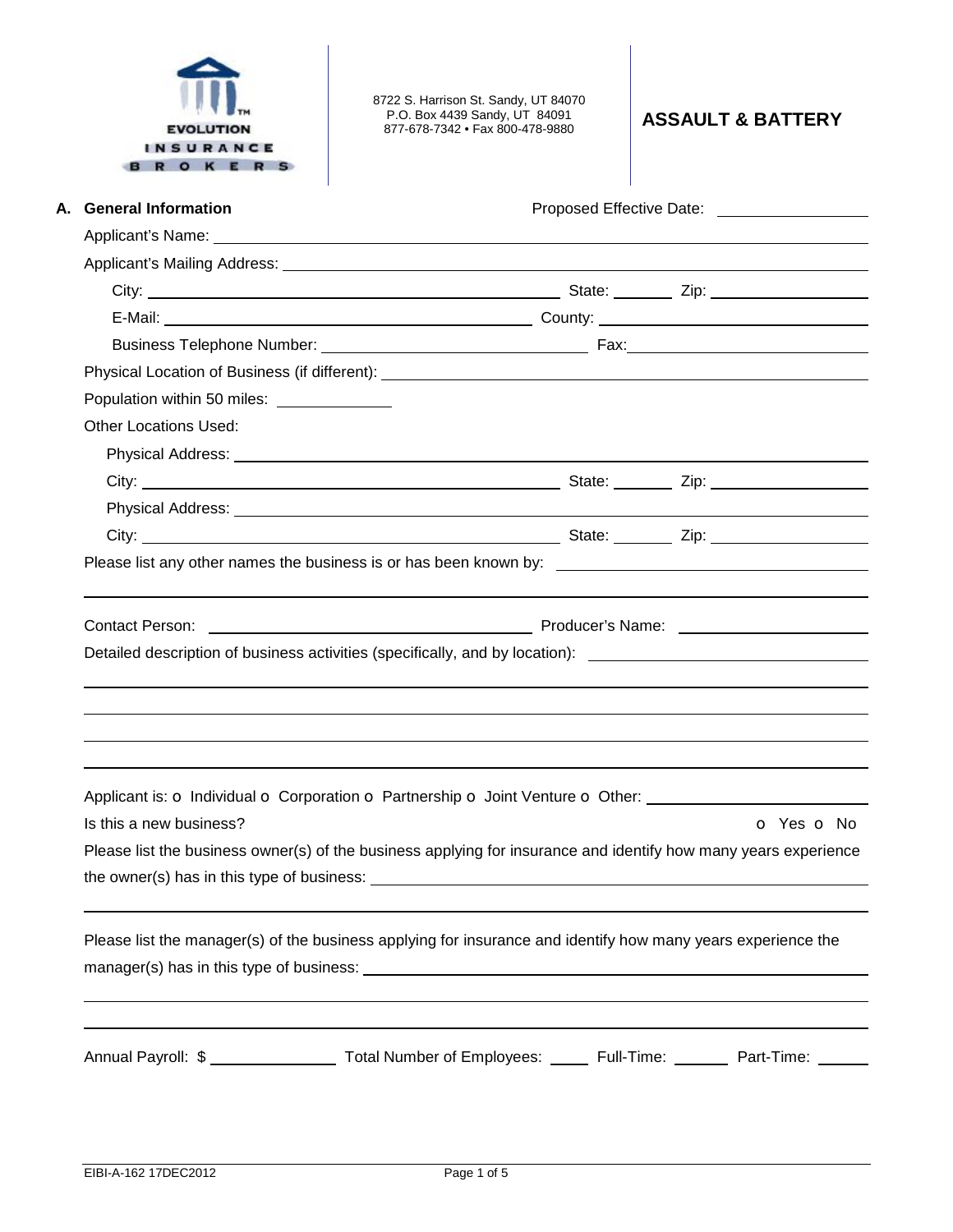

8722 S. Harrison St. Sandy, UT 84070 P.O. Box 4439 Sandy, UT 84091 877-678-7342 • Fax 800-478-9880 **ASSAULT & BATTERY** 

| A. General Information                                                                                                          |            |  |
|---------------------------------------------------------------------------------------------------------------------------------|------------|--|
|                                                                                                                                 |            |  |
|                                                                                                                                 |            |  |
|                                                                                                                                 |            |  |
|                                                                                                                                 |            |  |
|                                                                                                                                 |            |  |
|                                                                                                                                 |            |  |
| Population within 50 miles: _____________                                                                                       |            |  |
| <b>Other Locations Used:</b>                                                                                                    |            |  |
|                                                                                                                                 |            |  |
|                                                                                                                                 |            |  |
|                                                                                                                                 |            |  |
|                                                                                                                                 |            |  |
| Please list any other names the business is or has been known by: __________________________________                            |            |  |
|                                                                                                                                 |            |  |
|                                                                                                                                 |            |  |
|                                                                                                                                 |            |  |
| Contact Person:                                                                                                                 |            |  |
| Detailed description of business activities (specifically, and by location): _________________________________                  |            |  |
|                                                                                                                                 |            |  |
|                                                                                                                                 |            |  |
|                                                                                                                                 |            |  |
|                                                                                                                                 |            |  |
|                                                                                                                                 |            |  |
| Applicant is: O Individual O Corporation O Partnership O Joint Venture O Other: ____________________<br>Is this a new business? | O Yes O No |  |
| Please list the business owner(s) of the business applying for insurance and identify how many years experience                 |            |  |
| the owner(s) has in this type of business:                                                                                      |            |  |
|                                                                                                                                 |            |  |
|                                                                                                                                 |            |  |
| Please list the manager(s) of the business applying for insurance and identify how many years experience the                    |            |  |
|                                                                                                                                 |            |  |
|                                                                                                                                 |            |  |
|                                                                                                                                 |            |  |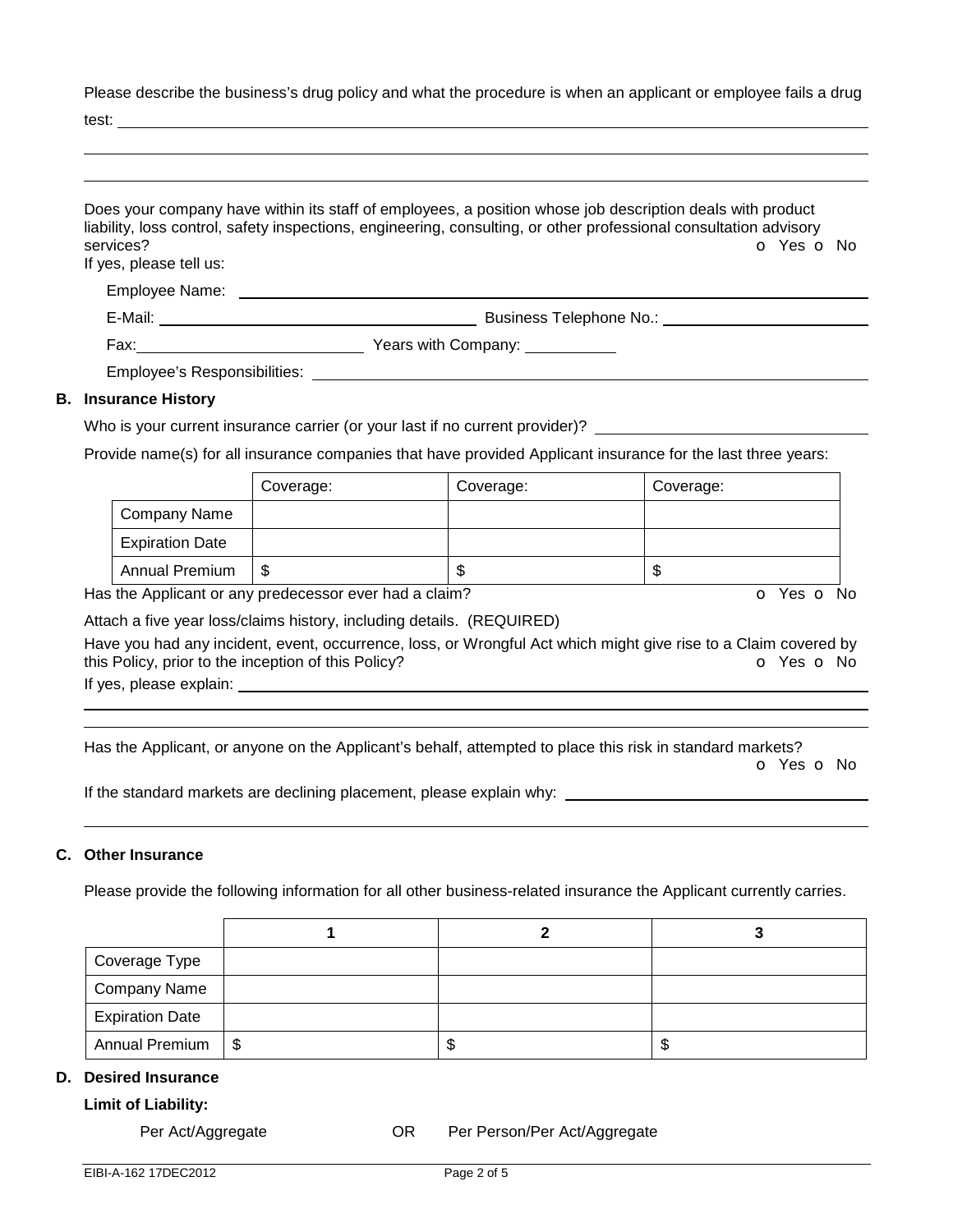Please describe the business's drug policy and what the procedure is when an applicant or employee fails a drug

test:

| services?<br>If yes, please tell us: | Does your company have within its staff of employees, a position whose job description deals with product<br>liability, loss control, safety inspections, engineering, consulting, or other professional consultation advisory<br>O Yes O No |
|--------------------------------------|----------------------------------------------------------------------------------------------------------------------------------------------------------------------------------------------------------------------------------------------|
|                                      |                                                                                                                                                                                                                                              |
|                                      | Business Telephone No.: Note that the set of the set of the set of the set of the set of the set of the set of the set of the set of the set of the set of the set of the set of the set of the set of the set of the set of t               |
|                                      |                                                                                                                                                                                                                                              |
|                                      | Employee's Responsibilities: Next and the state of the state of the state of the state of the state of the state of the state of the state of the state of the state of the state of the state of the state of the state of th               |
| <b>B.</b> Insurance History          |                                                                                                                                                                                                                                              |
|                                      | Who is your current insurance carrier (or your last if no current provider)?                                                                                                                                                                 |

# Provide name(s) for all insurance companies that have provided Applicant insurance for the last three years:

|                        | Coverage: | Coverage: | Coverage: |
|------------------------|-----------|-----------|-----------|
| Company Name           |           |           |           |
| <b>Expiration Date</b> |           |           |           |
| <b>Annual Premium</b>  | \$        | w         | ۰D        |

Has the Applicant or any predecessor ever had a claim? **O** Yes **o** No

Attach a five year loss/claims history, including details. (REQUIRED)

Have you had any incident, event, occurrence, loss, or Wrongful Act which might give rise to a Claim covered by this Policy, prior to the inception of this Policy? **o** Yes **o** No

If yes, please explain:

 

Has the Applicant, or anyone on the Applicant's behalf, attempted to place this risk in standard markets?

o Yes o No

If the standard markets are declining placement, please explain why:

## **C. Other Insurance**

Please provide the following information for all other business-related insurance the Applicant currently carries.

| Coverage Type          |  |  |
|------------------------|--|--|
| Company Name           |  |  |
| <b>Expiration Date</b> |  |  |
| Annual Premium   \$    |  |  |

### **D. Desired Insurance**

#### **Limit of Liability:**

Per Act/Aggregate **OR** Per Person/Per Act/Aggregate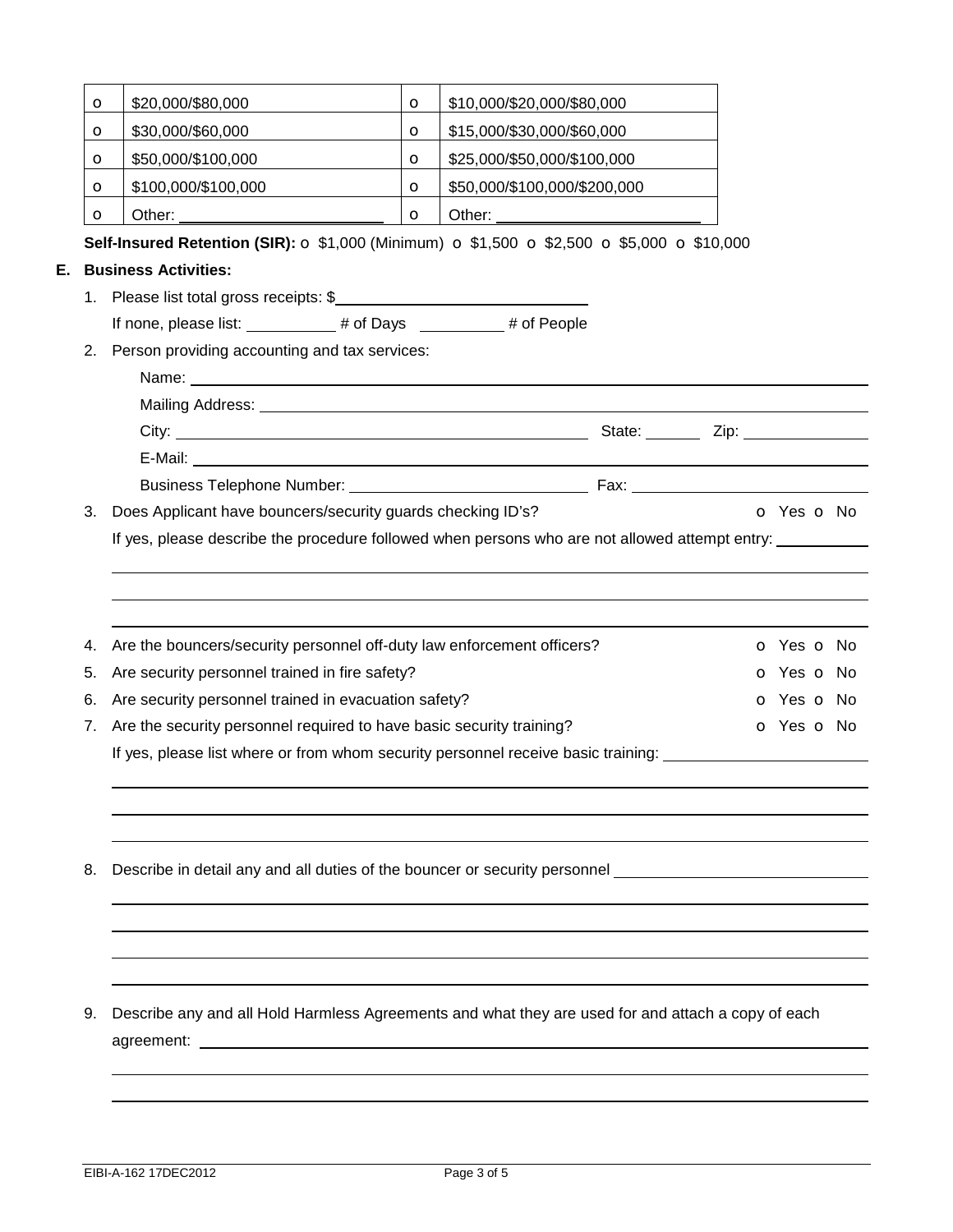|    | O                                                                          | \$20,000/\$80,000                                                                                                                      | $\mathbf o$ | \$10,000/\$20,000/\$80,000   |  |            |  |
|----|----------------------------------------------------------------------------|----------------------------------------------------------------------------------------------------------------------------------------|-------------|------------------------------|--|------------|--|
|    | $\circ$                                                                    | \$30,000/\$60,000                                                                                                                      | $\circ$     | \$15,000/\$30,000/\$60,000   |  |            |  |
|    | O                                                                          | \$50,000/\$100,000                                                                                                                     | $\circ$     | \$25,000/\$50,000/\$100,000  |  |            |  |
|    | O                                                                          | \$100,000/\$100,000                                                                                                                    | $\circ$     | \$50,000/\$100,000/\$200,000 |  |            |  |
|    | $\mathbf o$                                                                |                                                                                                                                        | $\circ$     |                              |  |            |  |
|    |                                                                            | Self-Insured Retention (SIR): ○ \$1,000 (Minimum) ○ \$1,500 ○ \$2,500 ○ \$5,000 ○ \$10,000                                             |             |                              |  |            |  |
| Е. |                                                                            | <b>Business Activities:</b>                                                                                                            |             |                              |  |            |  |
|    |                                                                            | 1. Please list total gross receipts: \$                                                                                                |             |                              |  |            |  |
|    |                                                                            | If none, please list: __________# of Days ________# of People                                                                          |             |                              |  |            |  |
| 2. |                                                                            | Person providing accounting and tax services:                                                                                          |             |                              |  |            |  |
|    |                                                                            |                                                                                                                                        |             |                              |  |            |  |
|    |                                                                            |                                                                                                                                        |             |                              |  |            |  |
|    |                                                                            |                                                                                                                                        |             |                              |  |            |  |
|    |                                                                            |                                                                                                                                        |             |                              |  |            |  |
|    |                                                                            |                                                                                                                                        |             |                              |  |            |  |
| 3. |                                                                            | Does Applicant have bouncers/security guards checking ID's?                                                                            |             |                              |  | o Yes o No |  |
|    |                                                                            |                                                                                                                                        |             |                              |  |            |  |
| 4. |                                                                            | Are the bouncers/security personnel off-duty law enforcement officers?<br><b>o</b> Yes <b>o</b> No                                     |             |                              |  |            |  |
|    | Are security personnel trained in fire safety?<br><b>o</b> Yes <b>o</b> No |                                                                                                                                        |             |                              |  |            |  |
| 5. |                                                                            |                                                                                                                                        |             |                              |  |            |  |
| 6. |                                                                            | Are security personnel trained in evacuation safety?                                                                                   |             |                              |  | o Yes o No |  |
| 7. |                                                                            | Are the security personnel required to have basic security training?                                                                   |             |                              |  | o Yes o No |  |
|    |                                                                            | If yes, please list where or from whom security personnel receive basic training:                                                      |             |                              |  |            |  |
|    |                                                                            |                                                                                                                                        |             |                              |  |            |  |
| 8. |                                                                            | Describe in detail any and all duties of the bouncer or security personnel example and the bounce of the bouncer or security personnel |             |                              |  |            |  |
|    |                                                                            |                                                                                                                                        |             |                              |  |            |  |
|    |                                                                            |                                                                                                                                        |             |                              |  |            |  |
| 9. |                                                                            | Describe any and all Hold Harmless Agreements and what they are used for and attach a copy of each                                     |             |                              |  |            |  |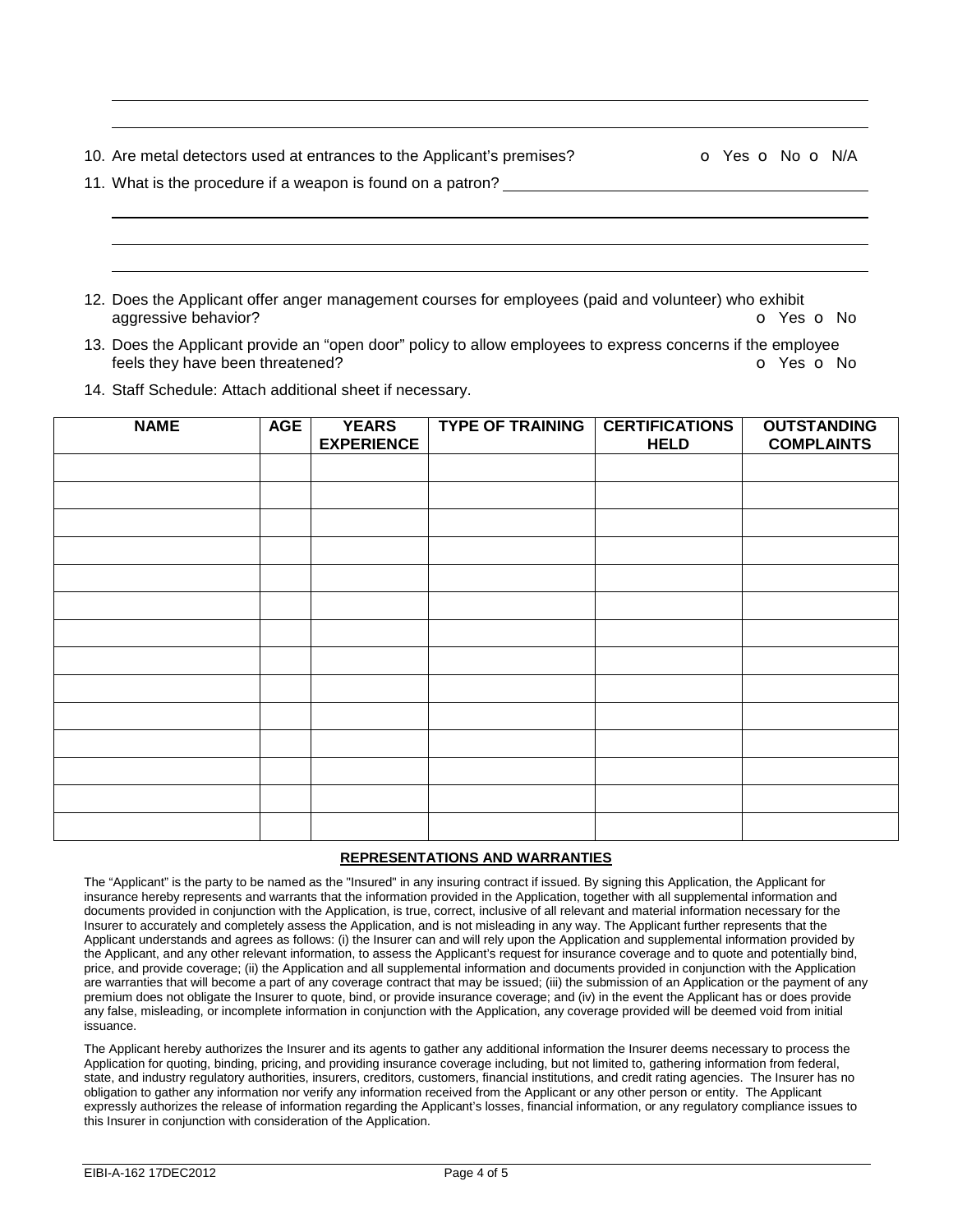10. Are metal detectors used at entrances to the Applicant's premises?  $\bullet$  **o** Yes **o** No **o** N/A

|  |  |  | 11. What is the procedure if a weapon is found on a patron? |  |  |  |  |  |  |  |
|--|--|--|-------------------------------------------------------------|--|--|--|--|--|--|--|
|--|--|--|-------------------------------------------------------------|--|--|--|--|--|--|--|

 

- 12. Does the Applicant offer anger management courses for employees (paid and volunteer) who exhibit aggressive behavior? **but a structure in the contract of the C** Yes **o** No
- 13. Does the Applicant provide an "open door" policy to allow employees to express concerns if the employee feels they have been threatened? The same state of the state of the state of the state of the state of No
- 14. Staff Schedule: Attach additional sheet if necessary.

| <b>NAME</b> | <b>AGE</b> | <b>YEARS</b><br><b>EXPERIENCE</b> | <b>TYPE OF TRAINING</b> | <b>CERTIFICATIONS</b><br><b>HELD</b> | <b>OUTSTANDING</b><br><b>COMPLAINTS</b> |
|-------------|------------|-----------------------------------|-------------------------|--------------------------------------|-----------------------------------------|
|             |            |                                   |                         |                                      |                                         |
|             |            |                                   |                         |                                      |                                         |
|             |            |                                   |                         |                                      |                                         |
|             |            |                                   |                         |                                      |                                         |
|             |            |                                   |                         |                                      |                                         |
|             |            |                                   |                         |                                      |                                         |
|             |            |                                   |                         |                                      |                                         |
|             |            |                                   |                         |                                      |                                         |
|             |            |                                   |                         |                                      |                                         |
|             |            |                                   |                         |                                      |                                         |
|             |            |                                   |                         |                                      |                                         |
|             |            |                                   |                         |                                      |                                         |
|             |            |                                   |                         |                                      |                                         |
|             |            |                                   |                         |                                      |                                         |

#### **REPRESENTATIONS AND WARRANTIES**

The "Applicant" is the party to be named as the "Insured" in any insuring contract if issued. By signing this Application, the Applicant for insurance hereby represents and warrants that the information provided in the Application, together with all supplemental information and documents provided in conjunction with the Application, is true, correct, inclusive of all relevant and material information necessary for the Insurer to accurately and completely assess the Application, and is not misleading in any way. The Applicant further represents that the Applicant understands and agrees as follows: (i) the Insurer can and will rely upon the Application and supplemental information provided by the Applicant, and any other relevant information, to assess the Applicant's request for insurance coverage and to quote and potentially bind, price, and provide coverage; (ii) the Application and all supplemental information and documents provided in conjunction with the Application are warranties that will become a part of any coverage contract that may be issued; (iii) the submission of an Application or the payment of any premium does not obligate the Insurer to quote, bind, or provide insurance coverage; and (iv) in the event the Applicant has or does provide any false, misleading, or incomplete information in conjunction with the Application, any coverage provided will be deemed void from initial issuance.

The Applicant hereby authorizes the Insurer and its agents to gather any additional information the Insurer deems necessary to process the Application for quoting, binding, pricing, and providing insurance coverage including, but not limited to, gathering information from federal, state, and industry regulatory authorities, insurers, creditors, customers, financial institutions, and credit rating agencies. The Insurer has no obligation to gather any information nor verify any information received from the Applicant or any other person or entity. The Applicant expressly authorizes the release of information regarding the Applicant's losses, financial information, or any regulatory compliance issues to this Insurer in conjunction with consideration of the Application.